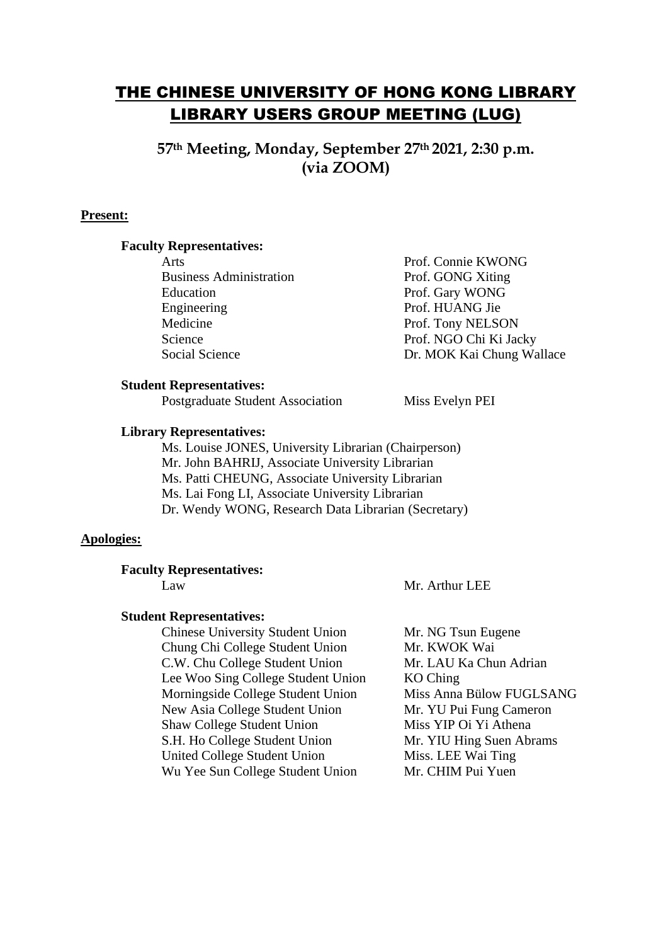# THE CHINESE UNIVERSITY OF HONG KONG LIBRARY LIBRARY USERS GROUP MEETING (LUG)

**57th Meeting, Monday, September 27th 2021, 2:30 p.m. (via ZOOM)**

# **Present:**

### **Faculty Representatives:**

Business Administration Prof. GONG Xiting Education Prof. Gary WONG Engineering Prof. HUANG Jie Medicine Prof. Tony NELSON Science Prof. NGO Chi Ki Jacky

Arts Prof. Connie KWONG Social Science **Dr. MOK Kai Chung Wallace** 

#### **Student Representatives:**

Postgraduate Student Association Miss Evelyn PEI

## **Library Representatives:**

Ms. Louise JONES, University Librarian (Chairperson) Mr. John BAHRIJ, Associate University Librarian Ms. Patti CHEUNG, Associate University Librarian Ms. Lai Fong LI, Associate University Librarian Dr. Wendy WONG, Research Data Librarian (Secretary)

# **Apologies:**

### **Faculty Representatives:**

Law Mr. Arthur LEE

## **Student Representatives:**

Chinese University Student Union Mr. NG Tsun Eugene Chung Chi College Student Union Mr. KWOK Wai C.W. Chu College Student Union Mr. LAU Ka Chun Adrian Lee Woo Sing College Student Union KO Ching Morningside College Student Union Miss Anna Bülow FUGLSANG New Asia College Student Union Mr. YU Pui Fung Cameron Shaw College Student Union Miss YIP Oi Yi Athena S.H. Ho College Student Union Mr. YIU Hing Suen Abrams United College Student Union Miss. LEE Wai Ting Wu Yee Sun College Student Union Mr. CHIM Pui Yuen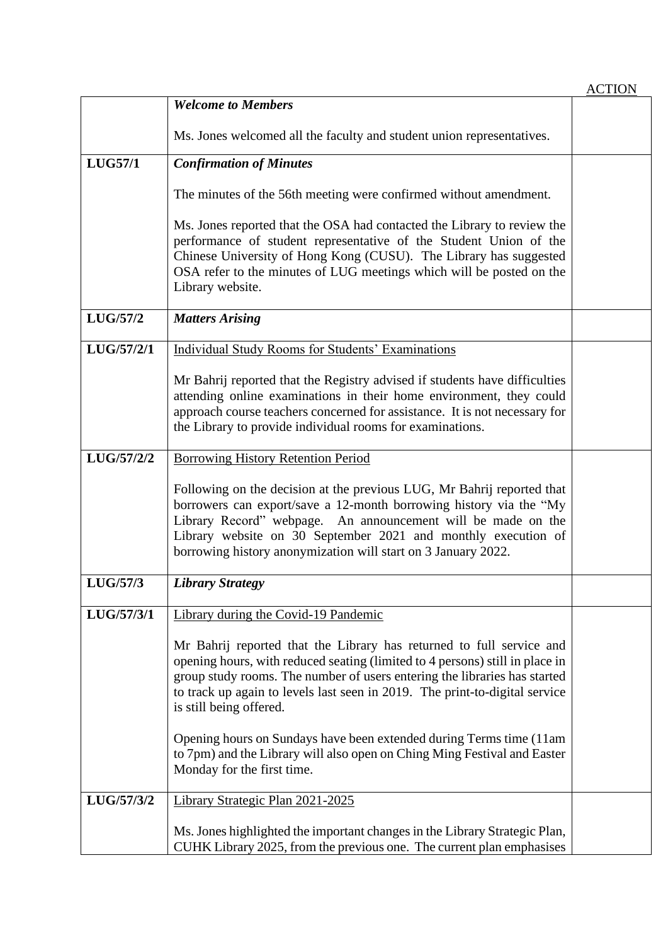|                |                                                                                                                                                                                                                                                                                                                                                | <b>ACTION</b> |
|----------------|------------------------------------------------------------------------------------------------------------------------------------------------------------------------------------------------------------------------------------------------------------------------------------------------------------------------------------------------|---------------|
|                | <b>Welcome to Members</b>                                                                                                                                                                                                                                                                                                                      |               |
|                | Ms. Jones welcomed all the faculty and student union representatives.                                                                                                                                                                                                                                                                          |               |
| <b>LUG57/1</b> | <b>Confirmation of Minutes</b>                                                                                                                                                                                                                                                                                                                 |               |
|                | The minutes of the 56th meeting were confirmed without amendment.                                                                                                                                                                                                                                                                              |               |
|                | Ms. Jones reported that the OSA had contacted the Library to review the<br>performance of student representative of the Student Union of the<br>Chinese University of Hong Kong (CUSU). The Library has suggested<br>OSA refer to the minutes of LUG meetings which will be posted on the<br>Library website.                                  |               |
| LUG/57/2       | <b>Matters Arising</b>                                                                                                                                                                                                                                                                                                                         |               |
| LUG/57/2/1     | Individual Study Rooms for Students' Examinations                                                                                                                                                                                                                                                                                              |               |
|                | Mr Bahrij reported that the Registry advised if students have difficulties<br>attending online examinations in their home environment, they could<br>approach course teachers concerned for assistance. It is not necessary for<br>the Library to provide individual rooms for examinations.                                                   |               |
| LUG/57/2/2     | <b>Borrowing History Retention Period</b>                                                                                                                                                                                                                                                                                                      |               |
|                | Following on the decision at the previous LUG, Mr Bahrij reported that<br>borrowers can export/save a 12-month borrowing history via the "My<br>Library Record" webpage. An announcement will be made on the<br>Library website on 30 September 2021 and monthly execution of<br>borrowing history anonymization will start on 3 January 2022. |               |
| LUG/57/3       | <b>Library Strategy</b>                                                                                                                                                                                                                                                                                                                        |               |
| LUG/57/3/1     | Library during the Covid-19 Pandemic                                                                                                                                                                                                                                                                                                           |               |
|                | Mr Bahrij reported that the Library has returned to full service and<br>opening hours, with reduced seating (limited to 4 persons) still in place in<br>group study rooms. The number of users entering the libraries has started<br>to track up again to levels last seen in 2019. The print-to-digital service<br>is still being offered.    |               |
|                | Opening hours on Sundays have been extended during Terms time (11am<br>to 7pm) and the Library will also open on Ching Ming Festival and Easter<br>Monday for the first time.                                                                                                                                                                  |               |
| LUG/57/3/2     | Library Strategic Plan 2021-2025                                                                                                                                                                                                                                                                                                               |               |
|                | Ms. Jones highlighted the important changes in the Library Strategic Plan,<br>CUHK Library 2025, from the previous one. The current plan emphasises                                                                                                                                                                                            |               |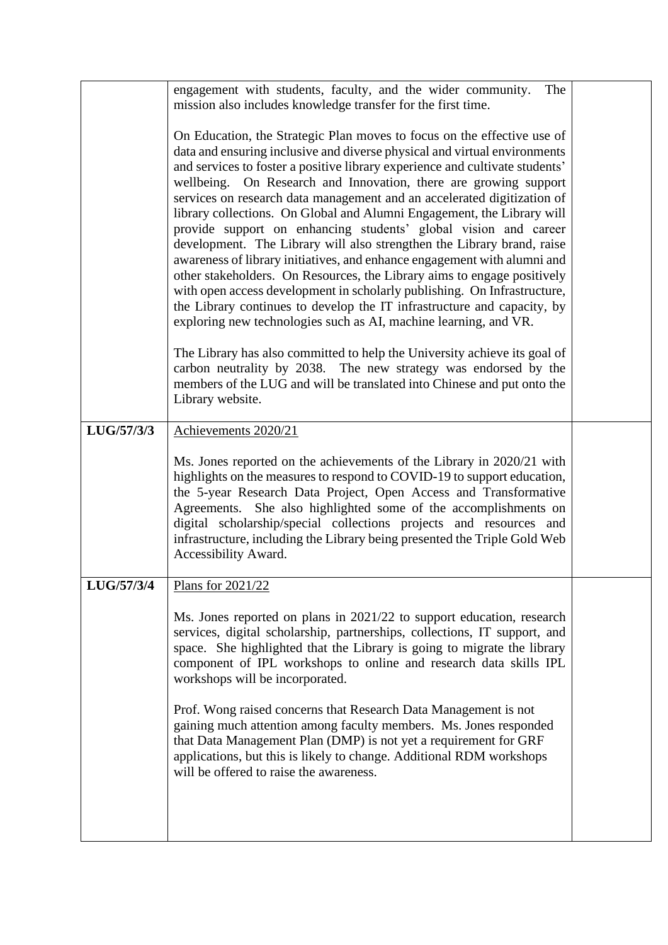|            | engagement with students, faculty, and the wider community.<br>The<br>mission also includes knowledge transfer for the first time.                                                                                                                                                                                                                                                                                                                                                                                                                                                                                                                                                                                                                                                                                                                                                                                                                                                                                                                                                                                                                                                                                                          |  |
|------------|---------------------------------------------------------------------------------------------------------------------------------------------------------------------------------------------------------------------------------------------------------------------------------------------------------------------------------------------------------------------------------------------------------------------------------------------------------------------------------------------------------------------------------------------------------------------------------------------------------------------------------------------------------------------------------------------------------------------------------------------------------------------------------------------------------------------------------------------------------------------------------------------------------------------------------------------------------------------------------------------------------------------------------------------------------------------------------------------------------------------------------------------------------------------------------------------------------------------------------------------|--|
|            | On Education, the Strategic Plan moves to focus on the effective use of<br>data and ensuring inclusive and diverse physical and virtual environments<br>and services to foster a positive library experience and cultivate students'<br>wellbeing. On Research and Innovation, there are growing support<br>services on research data management and an accelerated digitization of<br>library collections. On Global and Alumni Engagement, the Library will<br>provide support on enhancing students' global vision and career<br>development. The Library will also strengthen the Library brand, raise<br>awareness of library initiatives, and enhance engagement with alumni and<br>other stakeholders. On Resources, the Library aims to engage positively<br>with open access development in scholarly publishing. On Infrastructure,<br>the Library continues to develop the IT infrastructure and capacity, by<br>exploring new technologies such as AI, machine learning, and VR.<br>The Library has also committed to help the University achieve its goal of<br>carbon neutrality by 2038. The new strategy was endorsed by the<br>members of the LUG and will be translated into Chinese and put onto the<br>Library website. |  |
| LUG/57/3/3 | Achievements 2020/21                                                                                                                                                                                                                                                                                                                                                                                                                                                                                                                                                                                                                                                                                                                                                                                                                                                                                                                                                                                                                                                                                                                                                                                                                        |  |
|            | Ms. Jones reported on the achievements of the Library in 2020/21 with<br>highlights on the measures to respond to COVID-19 to support education,<br>the 5-year Research Data Project, Open Access and Transformative<br>Agreements. She also highlighted some of the accomplishments on<br>digital scholarship/special collections projects and resources and<br>infrastructure, including the Library being presented the Triple Gold Web<br>Accessibility Award.                                                                                                                                                                                                                                                                                                                                                                                                                                                                                                                                                                                                                                                                                                                                                                          |  |
| LUG/57/3/4 | Plans for 2021/22                                                                                                                                                                                                                                                                                                                                                                                                                                                                                                                                                                                                                                                                                                                                                                                                                                                                                                                                                                                                                                                                                                                                                                                                                           |  |
|            | Ms. Jones reported on plans in 2021/22 to support education, research<br>services, digital scholarship, partnerships, collections, IT support, and<br>space. She highlighted that the Library is going to migrate the library<br>component of IPL workshops to online and research data skills IPL<br>workshops will be incorporated.<br>Prof. Wong raised concerns that Research Data Management is not<br>gaining much attention among faculty members. Ms. Jones responded<br>that Data Management Plan (DMP) is not yet a requirement for GRF<br>applications, but this is likely to change. Additional RDM workshops<br>will be offered to raise the awareness.                                                                                                                                                                                                                                                                                                                                                                                                                                                                                                                                                                        |  |
|            |                                                                                                                                                                                                                                                                                                                                                                                                                                                                                                                                                                                                                                                                                                                                                                                                                                                                                                                                                                                                                                                                                                                                                                                                                                             |  |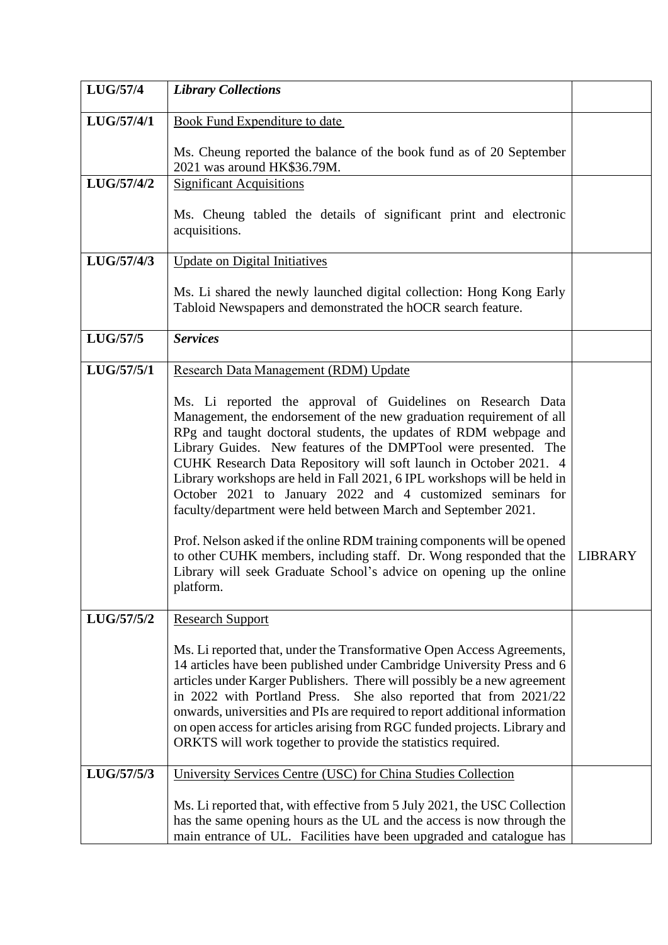| <b>LUG/57/4</b> | <b>Library Collections</b>                                                                                                                                                                                                                                                                                                                                                                                                                                                                                                                                                                                                                                                                                                                                                           |                |
|-----------------|--------------------------------------------------------------------------------------------------------------------------------------------------------------------------------------------------------------------------------------------------------------------------------------------------------------------------------------------------------------------------------------------------------------------------------------------------------------------------------------------------------------------------------------------------------------------------------------------------------------------------------------------------------------------------------------------------------------------------------------------------------------------------------------|----------------|
| LUG/57/4/1      | <b>Book Fund Expenditure to date</b>                                                                                                                                                                                                                                                                                                                                                                                                                                                                                                                                                                                                                                                                                                                                                 |                |
|                 | Ms. Cheung reported the balance of the book fund as of 20 September<br>2021 was around HK\$36.79M.                                                                                                                                                                                                                                                                                                                                                                                                                                                                                                                                                                                                                                                                                   |                |
| LUG/57/4/2      | <b>Significant Acquisitions</b>                                                                                                                                                                                                                                                                                                                                                                                                                                                                                                                                                                                                                                                                                                                                                      |                |
|                 | Ms. Cheung tabled the details of significant print and electronic<br>acquisitions.                                                                                                                                                                                                                                                                                                                                                                                                                                                                                                                                                                                                                                                                                                   |                |
| LUG/57/4/3      | <b>Update on Digital Initiatives</b>                                                                                                                                                                                                                                                                                                                                                                                                                                                                                                                                                                                                                                                                                                                                                 |                |
|                 | Ms. Li shared the newly launched digital collection: Hong Kong Early<br>Tabloid Newspapers and demonstrated the hOCR search feature.                                                                                                                                                                                                                                                                                                                                                                                                                                                                                                                                                                                                                                                 |                |
| LUG/57/5        | <b>Services</b>                                                                                                                                                                                                                                                                                                                                                                                                                                                                                                                                                                                                                                                                                                                                                                      |                |
| LUG/57/5/1      | Research Data Management (RDM) Update                                                                                                                                                                                                                                                                                                                                                                                                                                                                                                                                                                                                                                                                                                                                                |                |
|                 | Ms. Li reported the approval of Guidelines on Research Data<br>Management, the endorsement of the new graduation requirement of all<br>RPg and taught doctoral students, the updates of RDM webpage and<br>Library Guides. New features of the DMPTool were presented. The<br>CUHK Research Data Repository will soft launch in October 2021. 4<br>Library workshops are held in Fall 2021, 6 IPL workshops will be held in<br>October 2021 to January 2022 and 4 customized seminars for<br>faculty/department were held between March and September 2021.<br>Prof. Nelson asked if the online RDM training components will be opened<br>to other CUHK members, including staff. Dr. Wong responded that the<br>Library will seek Graduate School's advice on opening up the online | <b>LIBRARY</b> |
|                 | platform.                                                                                                                                                                                                                                                                                                                                                                                                                                                                                                                                                                                                                                                                                                                                                                            |                |
| LUG/57/5/2      | <b>Research Support</b>                                                                                                                                                                                                                                                                                                                                                                                                                                                                                                                                                                                                                                                                                                                                                              |                |
|                 | Ms. Li reported that, under the Transformative Open Access Agreements,<br>14 articles have been published under Cambridge University Press and 6<br>articles under Karger Publishers. There will possibly be a new agreement<br>in 2022 with Portland Press.<br>She also reported that from 2021/22<br>onwards, universities and PIs are required to report additional information<br>on open access for articles arising from RGC funded projects. Library and<br>ORKTS will work together to provide the statistics required.                                                                                                                                                                                                                                                      |                |
| LUG/57/5/3      | University Services Centre (USC) for China Studies Collection                                                                                                                                                                                                                                                                                                                                                                                                                                                                                                                                                                                                                                                                                                                        |                |
|                 | Ms. Li reported that, with effective from 5 July 2021, the USC Collection<br>has the same opening hours as the UL and the access is now through the<br>main entrance of UL. Facilities have been upgraded and catalogue has                                                                                                                                                                                                                                                                                                                                                                                                                                                                                                                                                          |                |